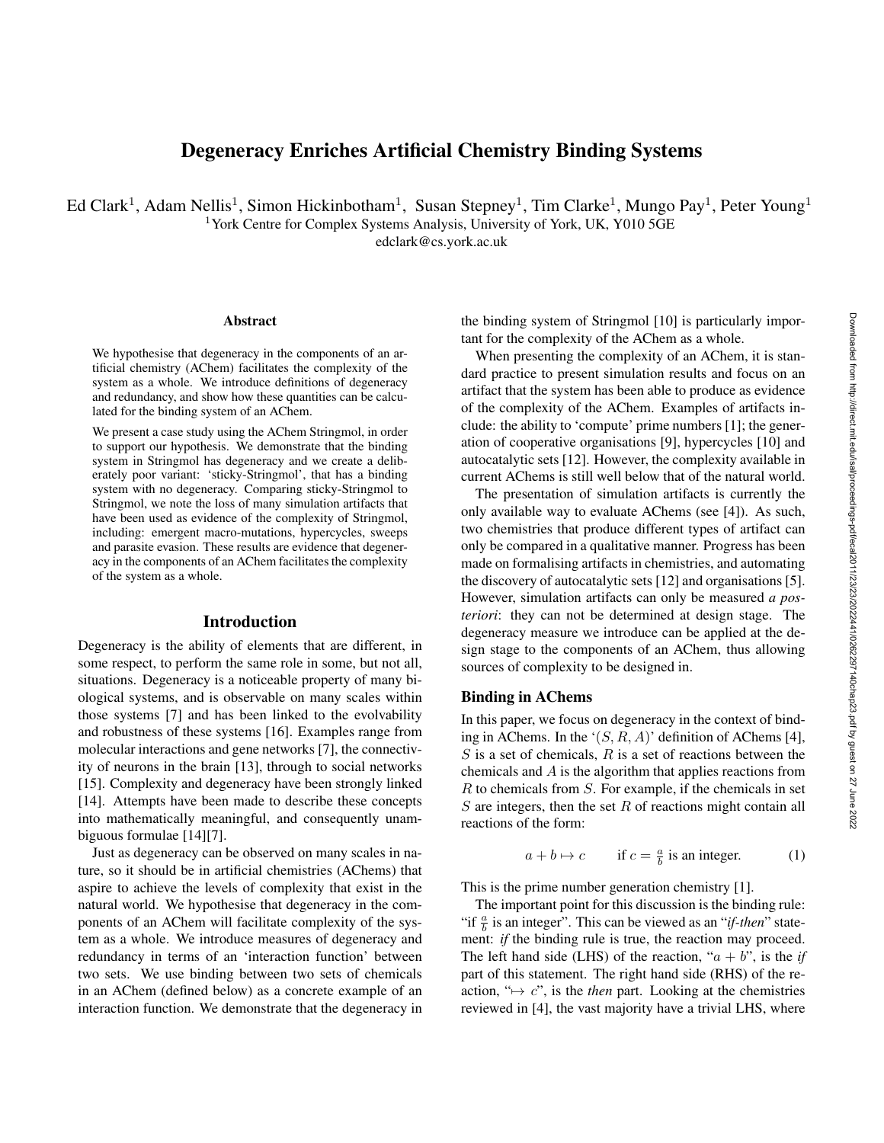# Degeneracy Enriches Artificial Chemistry Binding Systems

Ed Clark<sup>1</sup>, Adam Nellis<sup>1</sup>, Simon Hickinbotham<sup>1</sup>, Susan Stepney<sup>1</sup>, Tim Clarke<sup>1</sup>, Mungo Pay<sup>1</sup>, Peter Young<sup>1</sup> <sup>1</sup>York Centre for Complex Systems Analysis, University of York, UK, Y010 5GE

edclark@cs.york.ac.uk

#### Abstract

We hypothesise that degeneracy in the components of an artificial chemistry (AChem) facilitates the complexity of the system as a whole. We introduce definitions of degeneracy and redundancy, and show how these quantities can be calculated for the binding system of an AChem.

We present a case study using the AChem Stringmol, in order to support our hypothesis. We demonstrate that the binding system in Stringmol has degeneracy and we create a deliberately poor variant: 'sticky-Stringmol', that has a binding system with no degeneracy. Comparing sticky-Stringmol to Stringmol, we note the loss of many simulation artifacts that have been used as evidence of the complexity of Stringmol, including: emergent macro-mutations, hypercycles, sweeps and parasite evasion. These results are evidence that degeneracy in the components of an AChem facilitates the complexity of the system as a whole.

#### Introduction

Degeneracy is the ability of elements that are different, in some respect, to perform the same role in some, but not all, situations. Degeneracy is a noticeable property of many biological systems, and is observable on many scales within those systems [7] and has been linked to the evolvability and robustness of these systems [16]. Examples range from molecular interactions and gene networks [7], the connectivity of neurons in the brain [13], through to social networks [15]. Complexity and degeneracy have been strongly linked [14]. Attempts have been made to describe these concepts into mathematically meaningful, and consequently unambiguous formulae [14][7].

Just as degeneracy can be observed on many scales in nature, so it should be in artificial chemistries (AChems) that aspire to achieve the levels of complexity that exist in the natural world. We hypothesise that degeneracy in the components of an AChem will facilitate complexity of the system as a whole. We introduce measures of degeneracy and redundancy in terms of an 'interaction function' between two sets. We use binding between two sets of chemicals in an AChem (defined below) as a concrete example of an interaction function. We demonstrate that the degeneracy in

the binding system of Stringmol [10] is particularly important for the complexity of the AChem as a whole.

When presenting the complexity of an AChem, it is standard practice to present simulation results and focus on an artifact that the system has been able to produce as evidence of the complexity of the AChem. Examples of artifacts include: the ability to 'compute' prime numbers [1]; the generation of cooperative organisations [9], hypercycles [10] and autocatalytic sets [12]. However, the complexity available in current AChems is still well below that of the natural world.

The presentation of simulation artifacts is currently the only available way to evaluate AChems (see [4]). As such, two chemistries that produce different types of artifact can only be compared in a qualitative manner. Progress has been made on formalising artifacts in chemistries, and automating the discovery of autocatalytic sets [12] and organisations [5]. However, simulation artifacts can only be measured *a posteriori*: they can not be determined at design stage. The degeneracy measure we introduce can be applied at the design stage to the components of an AChem, thus allowing sources of complexity to be designed in.

#### Binding in AChems

In this paper, we focus on degeneracy in the context of binding in AChems. In the ' $(S, R, A)$ ' definition of AChems [4],  $S$  is a set of chemicals,  $R$  is a set of reactions between the chemicals and A is the algorithm that applies reactions from  $R$  to chemicals from  $S$ . For example, if the chemicals in set  $S$  are integers, then the set  $R$  of reactions might contain all reactions of the form:

$$
a + b \mapsto c \qquad \text{if } c = \frac{a}{b} \text{ is an integer.} \tag{1}
$$

This is the prime number generation chemistry [1].

The important point for this discussion is the binding rule: "if  $\frac{a}{b}$  is an integer". This can be viewed as an "*if-then*" statement: *if* the binding rule is true, the reaction may proceed. The left hand side (LHS) of the reaction, " $a + b$ ", is the *if* part of this statement. The right hand side (RHS) of the reaction, " $\mapsto$  c", is the *then* part. Looking at the chemistries reviewed in [4], the vast majority have a trivial LHS, where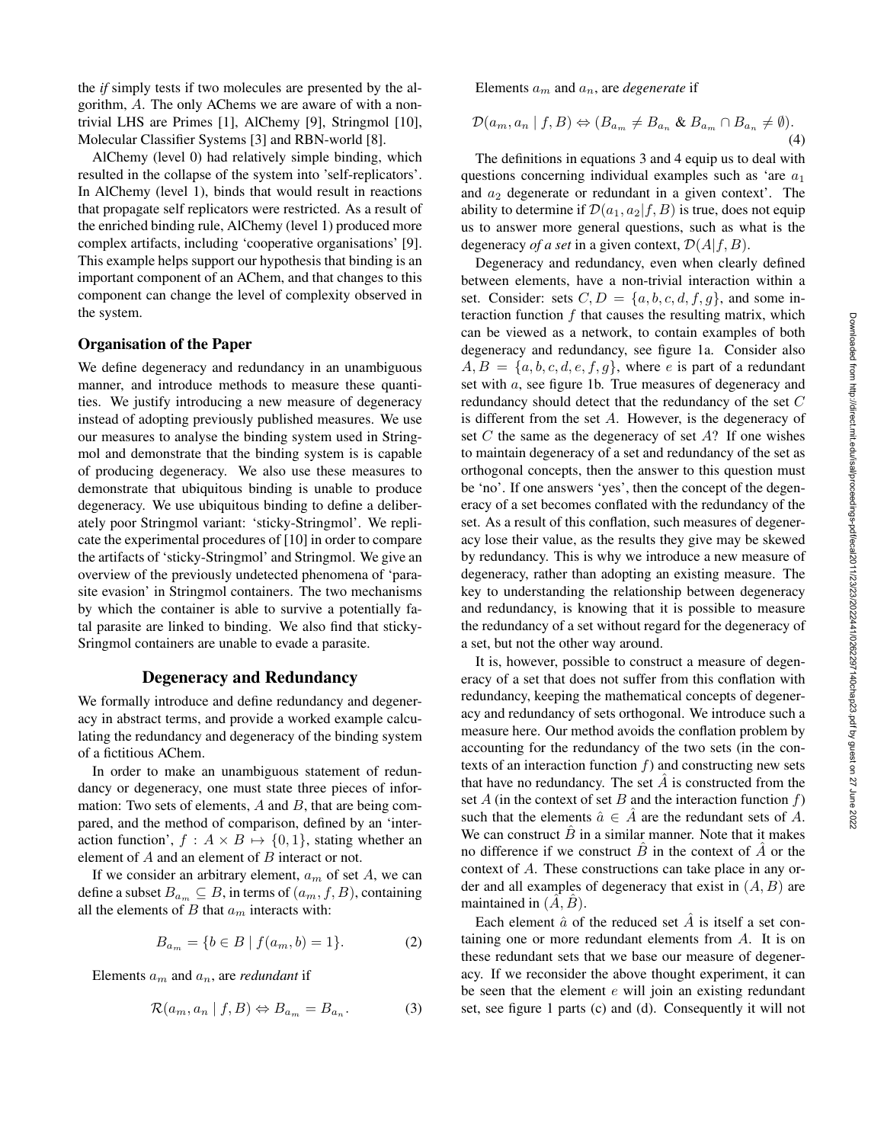the *if* simply tests if two molecules are presented by the algorithm, A. The only AChems we are aware of with a nontrivial LHS are Primes [1], AlChemy [9], Stringmol [10], Molecular Classifier Systems [3] and RBN-world [8].

AlChemy (level 0) had relatively simple binding, which resulted in the collapse of the system into 'self-replicators'. In AlChemy (level 1), binds that would result in reactions that propagate self replicators were restricted. As a result of the enriched binding rule, AlChemy (level 1) produced more complex artifacts, including 'cooperative organisations' [9]. This example helps support our hypothesis that binding is an important component of an AChem, and that changes to this component can change the level of complexity observed in the system.

#### Organisation of the Paper

We define degeneracy and redundancy in an unambiguous manner, and introduce methods to measure these quantities. We justify introducing a new measure of degeneracy instead of adopting previously published measures. We use our measures to analyse the binding system used in Stringmol and demonstrate that the binding system is is capable of producing degeneracy. We also use these measures to demonstrate that ubiquitous binding is unable to produce degeneracy. We use ubiquitous binding to define a deliberately poor Stringmol variant: 'sticky-Stringmol'. We replicate the experimental procedures of [10] in order to compare the artifacts of 'sticky-Stringmol' and Stringmol. We give an overview of the previously undetected phenomena of 'parasite evasion' in Stringmol containers. The two mechanisms by which the container is able to survive a potentially fatal parasite are linked to binding. We also find that sticky-Sringmol containers are unable to evade a parasite.

#### Degeneracy and Redundancy

We formally introduce and define redundancy and degeneracy in abstract terms, and provide a worked example calculating the redundancy and degeneracy of the binding system of a fictitious AChem.

In order to make an unambiguous statement of redundancy or degeneracy, one must state three pieces of information: Two sets of elements,  $A$  and  $B$ , that are being compared, and the method of comparison, defined by an 'interaction function',  $f : A \times B \mapsto \{0, 1\}$ , stating whether an element of  $A$  and an element of  $B$  interact or not.

If we consider an arbitrary element,  $a_m$  of set A, we can define a subset  $B_{a_m} \subseteq B$ , in terms of  $(a_m, f, B)$ , containing all the elements of B that  $a_m$  interacts with:

$$
B_{a_m} = \{ b \in B \mid f(a_m, b) = 1 \}.
$$
 (2)

Elements  $a_m$  and  $a_n$ , are *redundant* if

$$
\mathcal{R}(a_m, a_n | f, B) \Leftrightarrow B_{a_m} = B_{a_n}.
$$
 (3)

Elements a<sup>m</sup> and an, are *degenerate* if

$$
\mathcal{D}(a_m, a_n | f, B) \Leftrightarrow (B_{a_m} \neq B_{a_n} \& B_{a_m} \cap B_{a_n} \neq \emptyset).
$$
\n(4)

The definitions in equations 3 and 4 equip us to deal with questions concerning individual examples such as 'are  $a_1$ and  $a_2$  degenerate or redundant in a given context'. The ability to determine if  $\mathcal{D}(a_1, a_2 | f, B)$  is true, does not equip us to answer more general questions, such as what is the degeneracy *of a set* in a given context,  $\mathcal{D}(A|f, B)$ .

Degeneracy and redundancy, even when clearly defined between elements, have a non-trivial interaction within a set. Consider: sets  $C, D = \{a, b, c, d, f, g\}$ , and some interaction function  $f$  that causes the resulting matrix, which can be viewed as a network, to contain examples of both degeneracy and redundancy, see figure 1a. Consider also  $A, B = \{a, b, c, d, e, f, g\}$ , where e is part of a redundant set with a, see figure 1b. True measures of degeneracy and redundancy should detect that the redundancy of the set C is different from the set A. However, is the degeneracy of set  $C$  the same as the degeneracy of set  $A$ ? If one wishes to maintain degeneracy of a set and redundancy of the set as orthogonal concepts, then the answer to this question must be 'no'. If one answers 'yes', then the concept of the degeneracy of a set becomes conflated with the redundancy of the set. As a result of this conflation, such measures of degeneracy lose their value, as the results they give may be skewed by redundancy. This is why we introduce a new measure of degeneracy, rather than adopting an existing measure. The key to understanding the relationship between degeneracy and redundancy, is knowing that it is possible to measure the redundancy of a set without regard for the degeneracy of a set, but not the other way around.

It is, however, possible to construct a measure of degeneracy of a set that does not suffer from this conflation with redundancy, keeping the mathematical concepts of degeneracy and redundancy of sets orthogonal. We introduce such a measure here. Our method avoids the conflation problem by accounting for the redundancy of the two sets (in the contexts of an interaction function  $f$ ) and constructing new sets that have no redundancy. The set  $\hat{A}$  is constructed from the set A (in the context of set B and the interaction function  $f$ ) such that the elements  $\hat{a} \in \hat{A}$  are the redundant sets of A. We can construct  $\hat{B}$  in a similar manner. Note that it makes no difference if we construct  $\hat{B}$  in the context of  $\hat{A}$  or the context of A. These constructions can take place in any order and all examples of degeneracy that exist in  $(A, B)$  are maintained in  $(\tilde{A}, \tilde{B})$ .

Each element  $\hat{a}$  of the reduced set  $\hat{A}$  is itself a set containing one or more redundant elements from A. It is on these redundant sets that we base our measure of degeneracy. If we reconsider the above thought experiment, it can be seen that the element  $e$  will join an existing redundant set, see figure 1 parts (c) and (d). Consequently it will not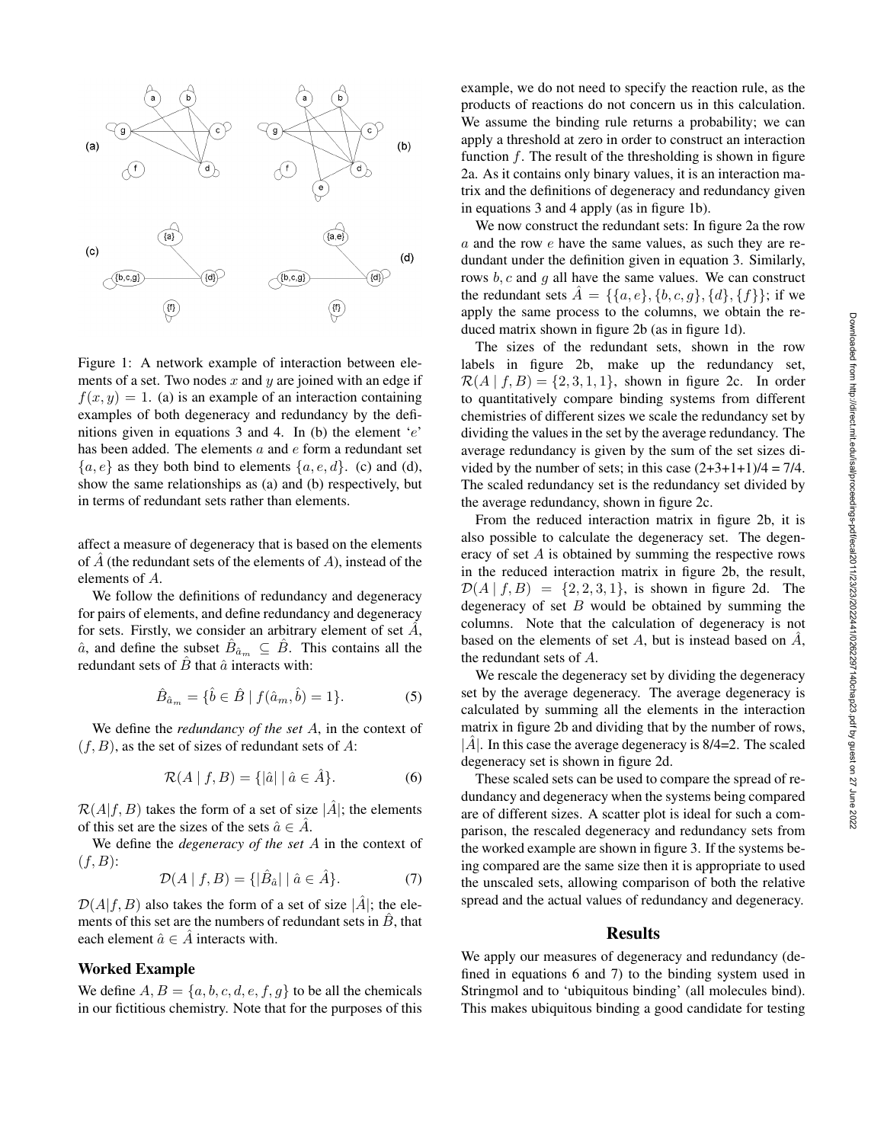

Figure 1: A network example of interaction between elements of a set. Two nodes  $x$  and  $y$  are joined with an edge if  $f(x, y) = 1$ . (a) is an example of an interaction containing examples of both degeneracy and redundancy by the definitions given in equations 3 and 4. In (b) the element  $e'$ has been added. The elements a and e form a redundant set  ${a, e}$  as they both bind to elements  ${a, e, d}$ . (c) and (d), show the same relationships as (a) and (b) respectively, but in terms of redundant sets rather than elements.

affect a measure of degeneracy that is based on the elements of  $\hat{A}$  (the redundant sets of the elements of A), instead of the elements of A.

We follow the definitions of redundancy and degeneracy for pairs of elements, and define redundancy and degeneracy for sets. Firstly, we consider an arbitrary element of set  $\ddot{A}$ ,  $\hat{a}$ , and define the subset  $\hat{B}_{\hat{a}_m} \subseteq \hat{B}$ . This contains all the redundant sets of  $\hat{B}$  that  $\hat{a}$  interacts with:

$$
\hat{B}_{\hat{a}_m} = \{ \hat{b} \in \hat{B} \mid f(\hat{a}_m, \hat{b}) = 1 \}.
$$
 (5)

We define the *redundancy of the set* A, in the context of  $(f, B)$ , as the set of sizes of redundant sets of A:

$$
\mathcal{R}(A \mid f, B) = \{ |\hat{a}| \mid \hat{a} \in \hat{A} \}.
$$
 (6)

 $\mathcal{R}(A|f, B)$  takes the form of a set of size  $|\hat{A}|$ ; the elements of this set are the sizes of the sets  $\hat{a} \in \hat{A}$ .

We define the *degeneracy of the set* A in the context of  $(f, B)$ :

$$
\mathcal{D}(A \mid f, B) = \{ |\hat{B}_{\hat{a}}| \mid \hat{a} \in \hat{A} \}.
$$
 (7)

 $\mathcal{D}(A|f, B)$  also takes the form of a set of size  $|\hat{A}|$ ; the elements of this set are the numbers of redundant sets in  $\ddot{B}$ , that each element  $\hat{a} \in \hat{A}$  interacts with.

# Worked Example

We define  $A, B = \{a, b, c, d, e, f, g\}$  to be all the chemicals in our fictitious chemistry. Note that for the purposes of this example, we do not need to specify the reaction rule, as the products of reactions do not concern us in this calculation. We assume the binding rule returns a probability; we can apply a threshold at zero in order to construct an interaction function  $f$ . The result of the thresholding is shown in figure 2a. As it contains only binary values, it is an interaction matrix and the definitions of degeneracy and redundancy given in equations 3 and 4 apply (as in figure 1b).

We now construct the redundant sets: In figure 2a the row a and the row e have the same values, as such they are redundant under the definition given in equation 3. Similarly, rows  $b, c$  and q all have the same values. We can construct the redundant sets  $\hat{A} = \{\{a, e\}, \{b, c, g\}, \{d\}, \{f\}\};$  if we apply the same process to the columns, we obtain the reduced matrix shown in figure 2b (as in figure 1d).

The sizes of the redundant sets, shown in the row labels in figure 2b, make up the redundancy set,  $\mathcal{R}(A | f, B) = \{2, 3, 1, 1\}$ , shown in figure 2c. In order to quantitatively compare binding systems from different chemistries of different sizes we scale the redundancy set by dividing the values in the set by the average redundancy. The average redundancy is given by the sum of the set sizes divided by the number of sets; in this case  $(2+3+1+1)/4 = 7/4$ . The scaled redundancy set is the redundancy set divided by the average redundancy, shown in figure 2c.

From the reduced interaction matrix in figure 2b, it is also possible to calculate the degeneracy set. The degeneracy of set A is obtained by summing the respective rows in the reduced interaction matrix in figure 2b, the result,  $\mathcal{D}(A | f, B) = \{2, 2, 3, 1\}$ , is shown in figure 2d. The degeneracy of set  $B$  would be obtained by summing the columns. Note that the calculation of degeneracy is not based on the elements of set A, but is instead based on  $\hat{A}$ , the redundant sets of A.

We rescale the degeneracy set by dividing the degeneracy set by the average degeneracy. The average degeneracy is calculated by summing all the elements in the interaction matrix in figure 2b and dividing that by the number of rows,  $|\hat{A}|$ . In this case the average degeneracy is 8/4=2. The scaled degeneracy set is shown in figure 2d.

These scaled sets can be used to compare the spread of redundancy and degeneracy when the systems being compared are of different sizes. A scatter plot is ideal for such a comparison, the rescaled degeneracy and redundancy sets from the worked example are shown in figure 3. If the systems being compared are the same size then it is appropriate to used the unscaled sets, allowing comparison of both the relative spread and the actual values of redundancy and degeneracy.

#### Results

We apply our measures of degeneracy and redundancy (defined in equations 6 and 7) to the binding system used in Stringmol and to 'ubiquitous binding' (all molecules bind). This makes ubiquitous binding a good candidate for testing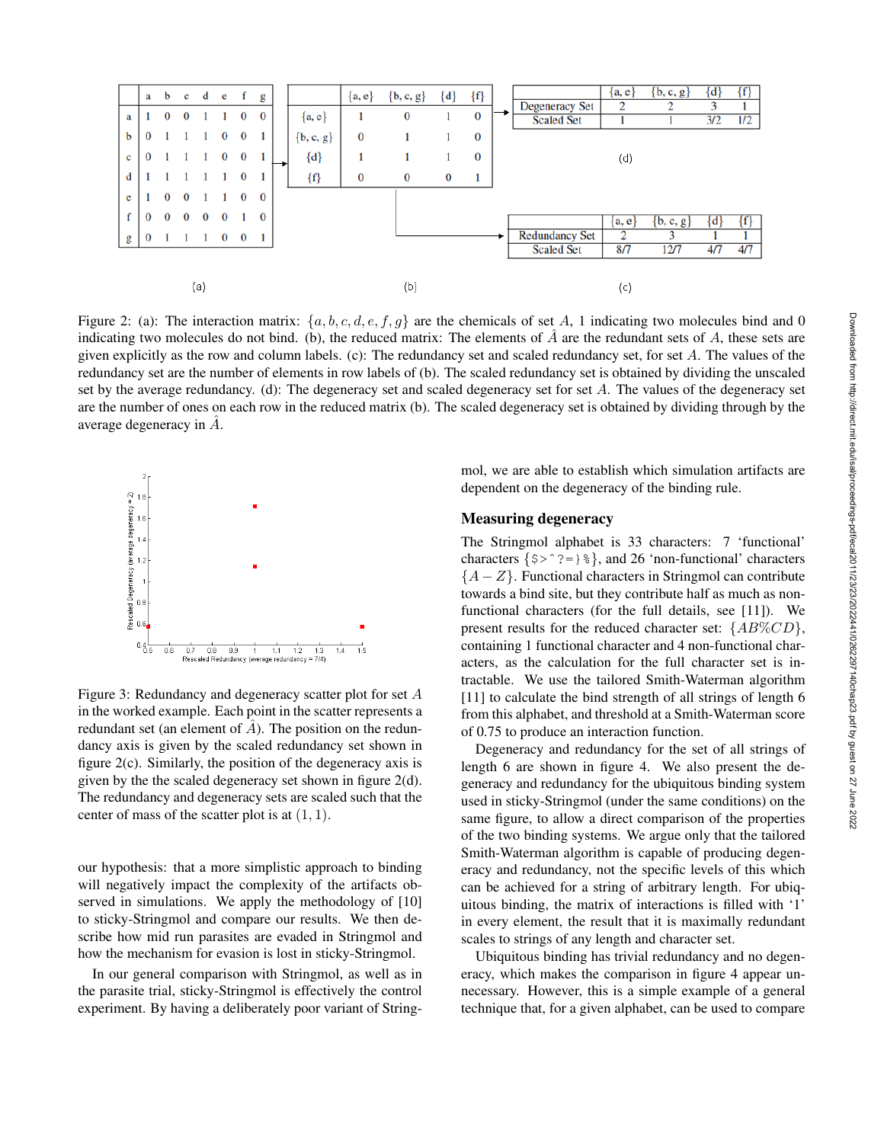

Figure 2: (a): The interaction matrix:  $\{a, b, c, d, e, f, g\}$  are the chemicals of set A, 1 indicating two molecules bind and 0 indicating two molecules do not bind. (b), the reduced matrix: The elements of  $A$  are the redundant sets of  $A$ , these sets are given explicitly as the row and column labels. (c): The redundancy set and scaled redundancy set, for set A. The values of the redundancy set are the number of elements in row labels of (b). The scaled redundancy set is obtained by dividing the unscaled set by the average redundancy. (d): The degeneracy set and scaled degeneracy set for set A. The values of the degeneracy set are the number of ones on each row in the reduced matrix (b). The scaled degeneracy set is obtained by dividing through by the average degeneracy in  $\hat{A}$ .



Figure 3: Redundancy and degeneracy scatter plot for set A in the worked example. Each point in the scatter represents a redundant set (an element of  $\hat{A}$ ). The position on the redundancy axis is given by the scaled redundancy set shown in figure 2(c). Similarly, the position of the degeneracy axis is given by the the scaled degeneracy set shown in figure 2(d). The redundancy and degeneracy sets are scaled such that the center of mass of the scatter plot is at  $(1, 1)$ .

our hypothesis: that a more simplistic approach to binding will negatively impact the complexity of the artifacts observed in simulations. We apply the methodology of [10] to sticky-Stringmol and compare our results. We then describe how mid run parasites are evaded in Stringmol and how the mechanism for evasion is lost in sticky-Stringmol.

In our general comparison with Stringmol, as well as in the parasite trial, sticky-Stringmol is effectively the control experiment. By having a deliberately poor variant of Stringmol, we are able to establish which simulation artifacts are dependent on the degeneracy of the binding rule.

#### Measuring degeneracy

The Stringmol alphabet is 33 characters: 7 'functional' characters  $\{\$>^{\circ}$  ?= $\}\$ , and 26 'non-functional' characters  ${A - Z}$ . Functional characters in Stringmol can contribute towards a bind site, but they contribute half as much as nonfunctional characters (for the full details, see [11]). We present results for the reduced character set:  ${AB\%CD},$ containing 1 functional character and 4 non-functional characters, as the calculation for the full character set is intractable. We use the tailored Smith-Waterman algorithm [11] to calculate the bind strength of all strings of length 6 from this alphabet, and threshold at a Smith-Waterman score of 0.75 to produce an interaction function.

Degeneracy and redundancy for the set of all strings of length 6 are shown in figure 4. We also present the degeneracy and redundancy for the ubiquitous binding system used in sticky-Stringmol (under the same conditions) on the same figure, to allow a direct comparison of the properties of the two binding systems. We argue only that the tailored Smith-Waterman algorithm is capable of producing degeneracy and redundancy, not the specific levels of this which can be achieved for a string of arbitrary length. For ubiquitous binding, the matrix of interactions is filled with '1' in every element, the result that it is maximally redundant scales to strings of any length and character set.

Ubiquitous binding has trivial redundancy and no degeneracy, which makes the comparison in figure 4 appear unnecessary. However, this is a simple example of a general technique that, for a given alphabet, can be used to compare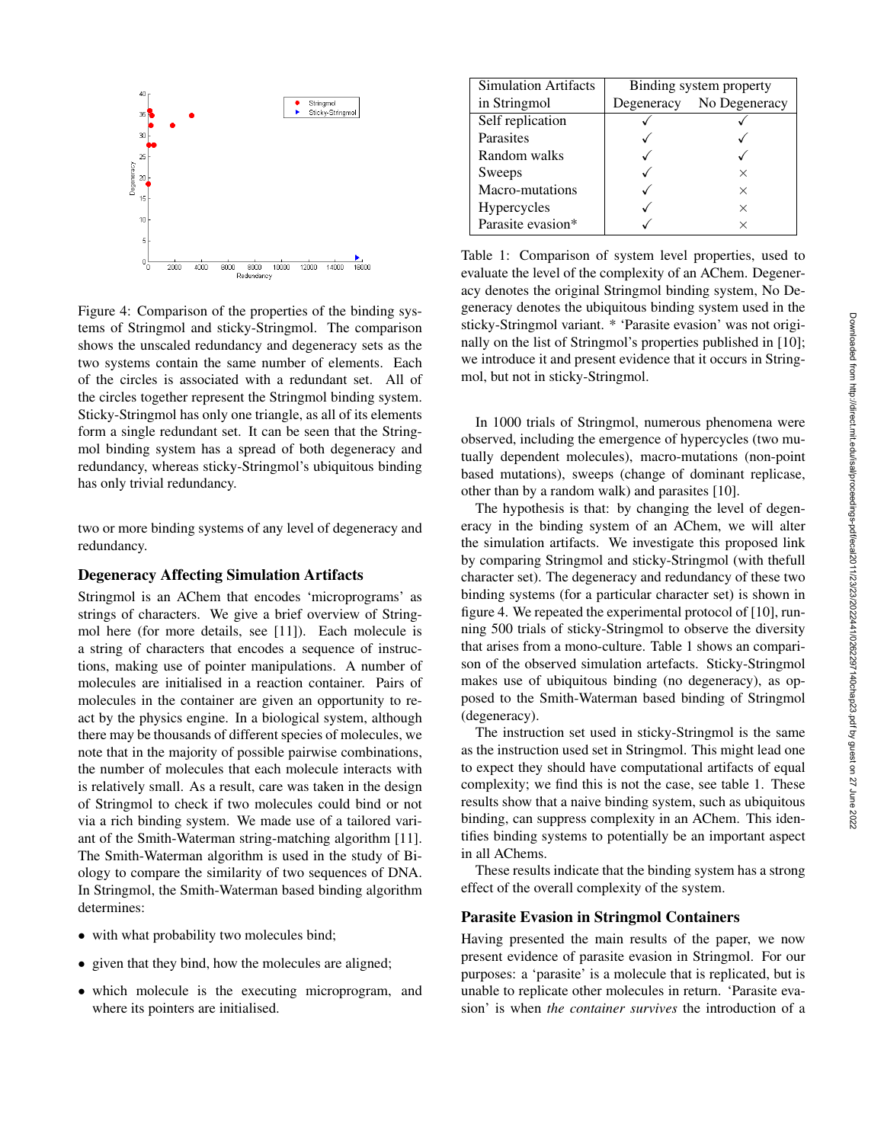

Figure 4: Comparison of the properties of the binding systems of Stringmol and sticky-Stringmol. The comparison shows the unscaled redundancy and degeneracy sets as the two systems contain the same number of elements. Each of the circles is associated with a redundant set. All of the circles together represent the Stringmol binding system. Sticky-Stringmol has only one triangle, as all of its elements form a single redundant set. It can be seen that the Stringmol binding system has a spread of both degeneracy and redundancy, whereas sticky-Stringmol's ubiquitous binding has only trivial redundancy.

two or more binding systems of any level of degeneracy and redundancy.

#### Degeneracy Affecting Simulation Artifacts

Stringmol is an AChem that encodes 'microprograms' as strings of characters. We give a brief overview of Stringmol here (for more details, see [11]). Each molecule is a string of characters that encodes a sequence of instructions, making use of pointer manipulations. A number of molecules are initialised in a reaction container. Pairs of molecules in the container are given an opportunity to react by the physics engine. In a biological system, although there may be thousands of different species of molecules, we note that in the majority of possible pairwise combinations, the number of molecules that each molecule interacts with is relatively small. As a result, care was taken in the design of Stringmol to check if two molecules could bind or not via a rich binding system. We made use of a tailored variant of the Smith-Waterman string-matching algorithm [11]. The Smith-Waterman algorithm is used in the study of Biology to compare the similarity of two sequences of DNA. In Stringmol, the Smith-Waterman based binding algorithm determines:

- with what probability two molecules bind;
- given that they bind, how the molecules are aligned;
- which molecule is the executing microprogram, and where its pointers are initialised.

| <b>Simulation Artifacts</b> | Binding system property |               |  |
|-----------------------------|-------------------------|---------------|--|
| in Stringmol                | Degeneracy              | No Degeneracy |  |
| Self replication            |                         |               |  |
| Parasites                   |                         |               |  |
| Random walks                |                         |               |  |
| Sweeps                      |                         | ×             |  |
| Macro-mutations             |                         | X             |  |
| Hypercycles                 |                         | $\times$      |  |
| Parasite evasion*           |                         | ×             |  |

Table 1: Comparison of system level properties, used to evaluate the level of the complexity of an AChem. Degeneracy denotes the original Stringmol binding system, No Degeneracy denotes the ubiquitous binding system used in the sticky-Stringmol variant. \* 'Parasite evasion' was not originally on the list of Stringmol's properties published in [10]; we introduce it and present evidence that it occurs in Stringmol, but not in sticky-Stringmol.

In 1000 trials of Stringmol, numerous phenomena were observed, including the emergence of hypercycles (two mutually dependent molecules), macro-mutations (non-point based mutations), sweeps (change of dominant replicase, other than by a random walk) and parasites [10].

The hypothesis is that: by changing the level of degeneracy in the binding system of an AChem, we will alter the simulation artifacts. We investigate this proposed link by comparing Stringmol and sticky-Stringmol (with thefull character set). The degeneracy and redundancy of these two binding systems (for a particular character set) is shown in figure 4. We repeated the experimental protocol of [10], running 500 trials of sticky-Stringmol to observe the diversity that arises from a mono-culture. Table 1 shows an comparison of the observed simulation artefacts. Sticky-Stringmol makes use of ubiquitous binding (no degeneracy), as opposed to the Smith-Waterman based binding of Stringmol (degeneracy).

The instruction set used in sticky-Stringmol is the same as the instruction used set in Stringmol. This might lead one to expect they should have computational artifacts of equal complexity; we find this is not the case, see table 1. These results show that a naive binding system, such as ubiquitous binding, can suppress complexity in an AChem. This identifies binding systems to potentially be an important aspect in all AChems.

These results indicate that the binding system has a strong effect of the overall complexity of the system.

#### Parasite Evasion in Stringmol Containers

Having presented the main results of the paper, we now present evidence of parasite evasion in Stringmol. For our purposes: a 'parasite' is a molecule that is replicated, but is unable to replicate other molecules in return. 'Parasite evasion' is when *the container survives* the introduction of a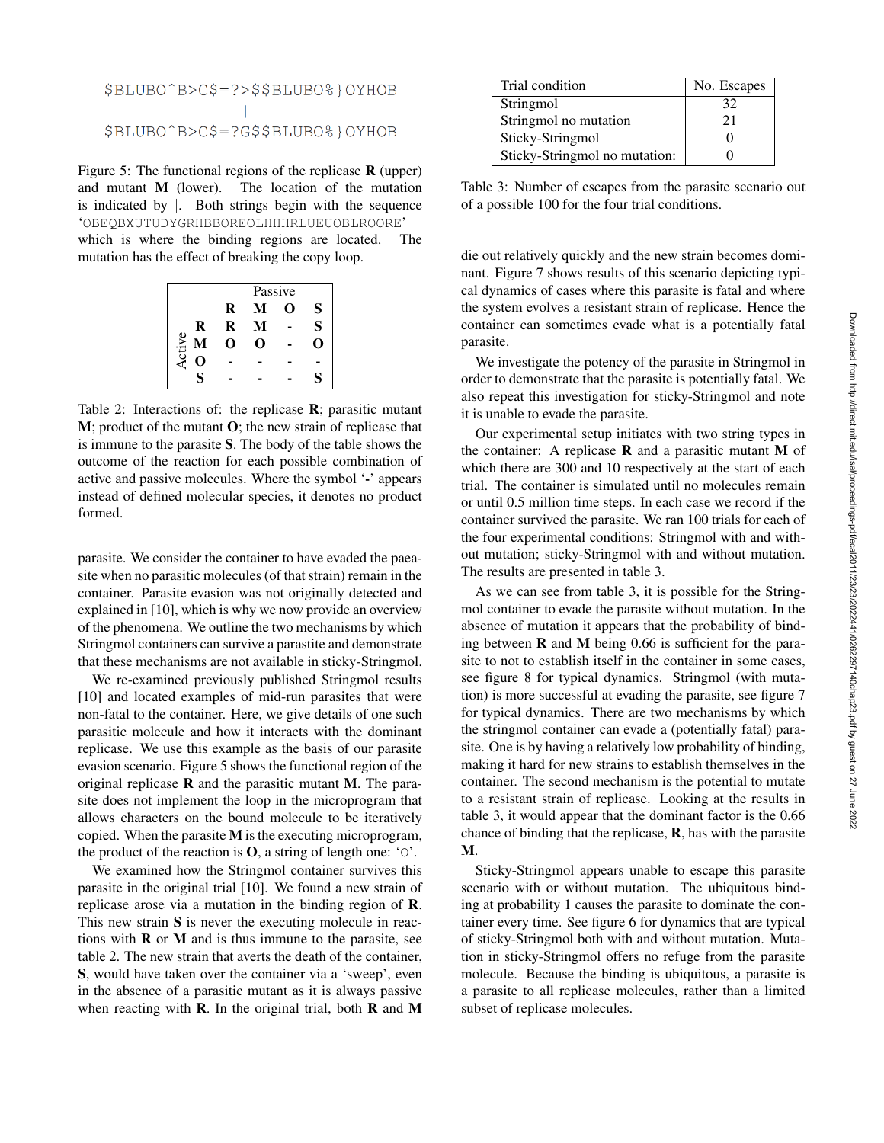# \$BLUBO^B>C\$=?>\$\$BLUBO%}OYHOB \$BLUBO^B>C\$=?G\$\$BLUBO%}OYHOB

Figure 5: The functional regions of the replicase  $\bf{R}$  (upper) and mutant M (lower). The location of the mutation is indicated by |. Both strings begin with the sequence 'OBEQBXUTUDYGRHBBOREOLHHHRLUEUOBLROORE' which is where the binding regions are located. The mutation has the effect of breaking the copy loop.

|               | Passive |   |   |   |
|---------------|---------|---|---|---|
|               | R       | M | O | S |
| R             | R       |   |   | S |
| <b>Active</b> | 0       | 0 |   | υ |
|               |         |   |   |   |
| Ś             |         |   |   | S |

Table 2: Interactions of: the replicase R; parasitic mutant M; product of the mutant O; the new strain of replicase that is immune to the parasite S. The body of the table shows the outcome of the reaction for each possible combination of active and passive molecules. Where the symbol '-' appears instead of defined molecular species, it denotes no product formed.

parasite. We consider the container to have evaded the paeasite when no parasitic molecules (of that strain) remain in the container. Parasite evasion was not originally detected and explained in [10], which is why we now provide an overview of the phenomena. We outline the two mechanisms by which Stringmol containers can survive a parastite and demonstrate that these mechanisms are not available in sticky-Stringmol.

We re-examined previously published Stringmol results [10] and located examples of mid-run parasites that were non-fatal to the container. Here, we give details of one such parasitic molecule and how it interacts with the dominant replicase. We use this example as the basis of our parasite evasion scenario. Figure 5 shows the functional region of the original replicase  **and the parasitic mutant**  $**M**$ **. The para**site does not implement the loop in the microprogram that allows characters on the bound molecule to be iteratively copied. When the parasite M is the executing microprogram, the product of the reaction is  $\mathbf{O}$ , a string of length one: 'O'.

We examined how the Stringmol container survives this parasite in the original trial [10]. We found a new strain of replicase arose via a mutation in the binding region of R. This new strain S is never the executing molecule in reactions with  $\bf{R}$  or  $\bf{M}$  and is thus immune to the parasite, see table 2. The new strain that averts the death of the container, S, would have taken over the container via a 'sweep', even in the absence of a parasitic mutant as it is always passive when reacting with  $\bf{R}$ . In the original trial, both  $\bf{R}$  and  $\bf{M}$ 

| Trial condition               | No. Escapes |  |
|-------------------------------|-------------|--|
| Stringmol                     | 32          |  |
| Stringmol no mutation         | 21          |  |
| Sticky-Stringmol              |             |  |
| Sticky-Stringmol no mutation: |             |  |

Table 3: Number of escapes from the parasite scenario out of a possible 100 for the four trial conditions.

die out relatively quickly and the new strain becomes dominant. Figure 7 shows results of this scenario depicting typical dynamics of cases where this parasite is fatal and where the system evolves a resistant strain of replicase. Hence the container can sometimes evade what is a potentially fatal parasite.

We investigate the potency of the parasite in Stringmol in order to demonstrate that the parasite is potentially fatal. We also repeat this investigation for sticky-Stringmol and note it is unable to evade the parasite.

Our experimental setup initiates with two string types in the container: A replicase  **and a parasitic mutant**  $**M**$  **of** which there are 300 and 10 respectively at the start of each trial. The container is simulated until no molecules remain or until 0.5 million time steps. In each case we record if the container survived the parasite. We ran 100 trials for each of the four experimental conditions: Stringmol with and without mutation; sticky-Stringmol with and without mutation. The results are presented in table 3.

As we can see from table 3, it is possible for the Stringmol container to evade the parasite without mutation. In the absence of mutation it appears that the probability of binding between  $\bf{R}$  and  $\bf{M}$  being 0.66 is sufficient for the parasite to not to establish itself in the container in some cases, see figure 8 for typical dynamics. Stringmol (with mutation) is more successful at evading the parasite, see figure 7 for typical dynamics. There are two mechanisms by which the stringmol container can evade a (potentially fatal) parasite. One is by having a relatively low probability of binding, making it hard for new strains to establish themselves in the container. The second mechanism is the potential to mutate to a resistant strain of replicase. Looking at the results in table 3, it would appear that the dominant factor is the 0.66 chance of binding that the replicase, R, has with the parasite M.

Sticky-Stringmol appears unable to escape this parasite scenario with or without mutation. The ubiquitous binding at probability 1 causes the parasite to dominate the container every time. See figure 6 for dynamics that are typical of sticky-Stringmol both with and without mutation. Mutation in sticky-Stringmol offers no refuge from the parasite molecule. Because the binding is ubiquitous, a parasite is a parasite to all replicase molecules, rather than a limited subset of replicase molecules.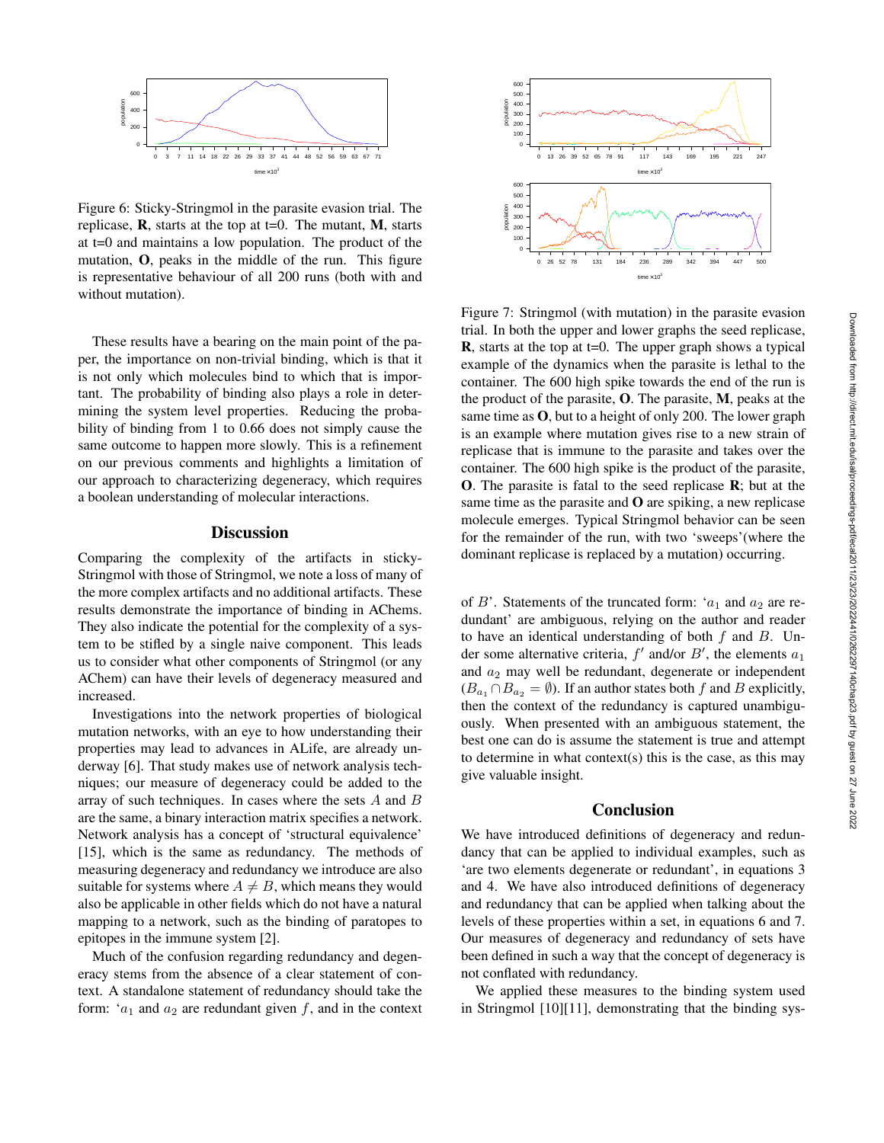

Figure 6: Sticky-Stringmol in the parasite evasion trial. The replicase,  $\bf{R}$ , starts at the top at t=0. The mutant,  $\bf{M}$ , starts at t=0 and maintains a low population. The product of the mutation, O, peaks in the middle of the run. This figure is representative behaviour of all 200 runs (both with and without mutation).

These results have a bearing on the main point of the paper, the importance on non-trivial binding, which is that it is not only which molecules bind to which that is important. The probability of binding also plays a role in determining the system level properties. Reducing the probability of binding from 1 to 0.66 does not simply cause the same outcome to happen more slowly. This is a refinement on our previous comments and highlights a limitation of our approach to characterizing degeneracy, which requires a boolean understanding of molecular interactions.

# **Discussion**

Comparing the complexity of the artifacts in sticky-Stringmol with those of Stringmol, we note a loss of many of the more complex artifacts and no additional artifacts. These results demonstrate the importance of binding in AChems. They also indicate the potential for the complexity of a system to be stifled by a single naive component. This leads us to consider what other components of Stringmol (or any AChem) can have their levels of degeneracy measured and increased.

Investigations into the network properties of biological mutation networks, with an eye to how understanding their properties may lead to advances in ALife, are already underway [6]. That study makes use of network analysis techniques; our measure of degeneracy could be added to the array of such techniques. In cases where the sets A and B are the same, a binary interaction matrix specifies a network. Network analysis has a concept of 'structural equivalence' [15], which is the same as redundancy. The methods of measuring degeneracy and redundancy we introduce are also suitable for systems where  $A \neq B$ , which means they would also be applicable in other fields which do not have a natural mapping to a network, such as the binding of paratopes to epitopes in the immune system [2].

Much of the confusion regarding redundancy and degeneracy stems from the absence of a clear statement of context. A standalone statement of redundancy should take the form: ' $a_1$  and  $a_2$  are redundant given f, and in the context



Figure 7: Stringmol (with mutation) in the parasite evasion trial. In both the upper and lower graphs the seed replicase, **, starts at the top at t=0. The upper graph shows a typical** example of the dynamics when the parasite is lethal to the container. The 600 high spike towards the end of the run is the product of the parasite,  $O$ . The parasite,  $M$ , peaks at the same time as O, but to a height of only 200. The lower graph is an example where mutation gives rise to a new strain of replicase that is immune to the parasite and takes over the container. The 600 high spike is the product of the parasite, O. The parasite is fatal to the seed replicase R; but at the same time as the parasite and  $\bf{O}$  are spiking, a new replicase molecule emerges. Typical Stringmol behavior can be seen for the remainder of the run, with two 'sweeps'(where the dominant replicase is replaced by a mutation) occurring.

of B'. Statements of the truncated form: ' $a_1$  and  $a_2$  are redundant' are ambiguous, relying on the author and reader to have an identical understanding of both  $f$  and  $B$ . Under some alternative criteria,  $f'$  and/or  $B'$ , the elements  $a_1$ and  $a_2$  may well be redundant, degenerate or independent  $(B_{a_1} \cap B_{a_2} = \emptyset)$ . If an author states both f and B explicitly, then the context of the redundancy is captured unambiguously. When presented with an ambiguous statement, the best one can do is assume the statement is true and attempt to determine in what context(s) this is the case, as this may give valuable insight.

### Conclusion

We have introduced definitions of degeneracy and redundancy that can be applied to individual examples, such as 'are two elements degenerate or redundant', in equations 3 and 4. We have also introduced definitions of degeneracy and redundancy that can be applied when talking about the levels of these properties within a set, in equations 6 and 7. Our measures of degeneracy and redundancy of sets have been defined in such a way that the concept of degeneracy is not conflated with redundancy.

We applied these measures to the binding system used in Stringmol [10][11], demonstrating that the binding sys-